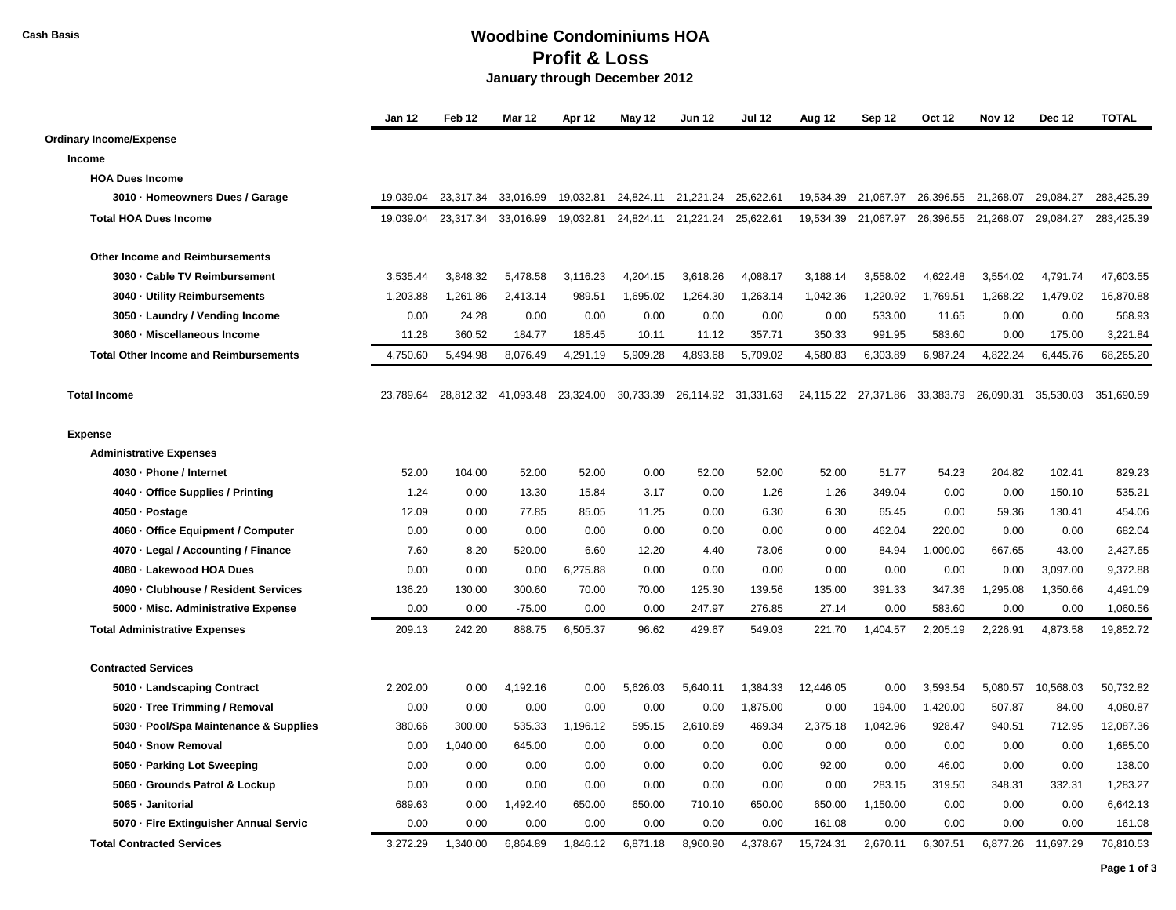## **Cash Basis Woodbine Condominiums HOA Profit & Loss January through December 2012**

|                                              | Jan 12    | Feb <sub>12</sub> | <b>Mar 12</b> | Apr 12    | May 12    | <b>Jun 12</b>       | <b>Jul 12</b> | Aug 12    | Sep 12              | Oct 12    | <b>Nov 12</b>       | <b>Dec 12</b> | <b>TOTAL</b> |
|----------------------------------------------|-----------|-------------------|---------------|-----------|-----------|---------------------|---------------|-----------|---------------------|-----------|---------------------|---------------|--------------|
| <b>Ordinary Income/Expense</b>               |           |                   |               |           |           |                     |               |           |                     |           |                     |               |              |
| Income                                       |           |                   |               |           |           |                     |               |           |                     |           |                     |               |              |
| <b>HOA Dues Income</b>                       |           |                   |               |           |           |                     |               |           |                     |           |                     |               |              |
| 3010 · Homeowners Dues / Garage              | 19.039.04 | 23,317.34         | 33,016.99     | 19,032.81 |           | 24,824.11 21,221.24 | 25,622.61     | 19,534.39 | 21,067.97           | 26,396.55 | 21,268.07           | 29,084.27     | 283.425.39   |
| <b>Total HOA Dues Income</b>                 | 19,039.04 | 23,317.34         | 33,016.99     | 19,032.81 |           | 24,824.11 21,221.24 | 25,622.61     | 19,534.39 | 21,067.97           |           | 26,396.55 21,268.07 | 29,084.27     | 283,425.39   |
| <b>Other Income and Reimbursements</b>       |           |                   |               |           |           |                     |               |           |                     |           |                     |               |              |
| 3030 · Cable TV Reimbursement                | 3,535.44  | 3,848.32          | 5,478.58      | 3,116.23  | 4,204.15  | 3,618.26            | 4,088.17      | 3,188.14  | 3,558.02            | 4,622.48  | 3,554.02            | 4,791.74      | 47,603.55    |
| 3040 · Utility Reimbursements                | 1,203.88  | 1,261.86          | 2,413.14      | 989.51    | 1,695.02  | 1,264.30            | 1,263.14      | 1,042.36  | 1,220.92            | 1,769.51  | 1,268.22            | 1,479.02      | 16,870.88    |
| 3050 · Laundry / Vending Income              | 0.00      | 24.28             | 0.00          | 0.00      | 0.00      | 0.00                | 0.00          | 0.00      | 533.00              | 11.65     | 0.00                | 0.00          | 568.93       |
| 3060 · Miscellaneous Income                  | 11.28     | 360.52            | 184.77        | 185.45    | 10.11     | 11.12               | 357.71        | 350.33    | 991.95              | 583.60    | 0.00                | 175.00        | 3,221.84     |
| <b>Total Other Income and Reimbursements</b> | 4,750.60  | 5,494.98          | 8,076.49      | 4,291.19  | 5,909.28  | 4,893.68            | 5,709.02      | 4,580.83  | 6,303.89            | 6,987.24  | 4,822.24            | 6,445.76      | 68,265.20    |
| <b>Total Income</b>                          | 23.789.64 | 28.812.32         | 41.093.48     | 23,324.00 | 30,733.39 | 26,114.92           | 31,331.63     |           | 24,115.22 27,371.86 | 33.383.79 | 26.090.31           | 35.530.03     | 351.690.59   |
| <b>Expense</b>                               |           |                   |               |           |           |                     |               |           |                     |           |                     |               |              |
| <b>Administrative Expenses</b>               |           |                   |               |           |           |                     |               |           |                     |           |                     |               |              |
| 4030 · Phone / Internet                      | 52.00     | 104.00            | 52.00         | 52.00     | 0.00      | 52.00               | 52.00         | 52.00     | 51.77               | 54.23     | 204.82              | 102.41        | 829.23       |
| 4040 · Office Supplies / Printing            | 1.24      | 0.00              | 13.30         | 15.84     | 3.17      | 0.00                | 1.26          | 1.26      | 349.04              | 0.00      | 0.00                | 150.10        | 535.21       |
| 4050 · Postage                               | 12.09     | 0.00              | 77.85         | 85.05     | 11.25     | 0.00                | 6.30          | 6.30      | 65.45               | 0.00      | 59.36               | 130.41        | 454.06       |
| 4060 · Office Equipment / Computer           | 0.00      | 0.00              | 0.00          | 0.00      | 0.00      | 0.00                | 0.00          | 0.00      | 462.04              | 220.00    | 0.00                | 0.00          | 682.04       |
| 4070 · Legal / Accounting / Finance          | 7.60      | 8.20              | 520.00        | 6.60      | 12.20     | 4.40                | 73.06         | 0.00      | 84.94               | 1,000.00  | 667.65              | 43.00         | 2,427.65     |
| 4080 - Lakewood HOA Dues                     | 0.00      | 0.00              | 0.00          | 6,275.88  | 0.00      | 0.00                | 0.00          | 0.00      | 0.00                | 0.00      | 0.00                | 3,097.00      | 9,372.88     |
| 4090 · Clubhouse / Resident Services         | 136.20    | 130.00            | 300.60        | 70.00     | 70.00     | 125.30              | 139.56        | 135.00    | 391.33              | 347.36    | 1,295.08            | 1,350.66      | 4,491.09     |
| 5000 - Misc. Administrative Expense          | 0.00      | 0.00              | $-75.00$      | 0.00      | 0.00      | 247.97              | 276.85        | 27.14     | 0.00                | 583.60    | 0.00                | 0.00          | 1,060.56     |
| <b>Total Administrative Expenses</b>         | 209.13    | 242.20            | 888.75        | 6,505.37  | 96.62     | 429.67              | 549.03        | 221.70    | 1,404.57            | 2,205.19  | 2,226.91            | 4,873.58      | 19,852.72    |
| <b>Contracted Services</b>                   |           |                   |               |           |           |                     |               |           |                     |           |                     |               |              |
| 5010 · Landscaping Contract                  | 2,202.00  | 0.00              | 4,192.16      | 0.00      | 5,626.03  | 5,640.11            | 1,384.33      | 12,446.05 | 0.00                | 3,593.54  | 5,080.57            | 10,568.03     | 50,732.82    |
| 5020 · Tree Trimming / Removal               | 0.00      | 0.00              | 0.00          | 0.00      | 0.00      | 0.00                | 1,875.00      | 0.00      | 194.00              | 1,420.00  | 507.87              | 84.00         | 4,080.87     |
| 5030 - Pool/Spa Maintenance & Supplies       | 380.66    | 300.00            | 535.33        | 1,196.12  | 595.15    | 2,610.69            | 469.34        | 2,375.18  | 1,042.96            | 928.47    | 940.51              | 712.95        | 12,087.36    |
| 5040 - Snow Removal                          | 0.00      | 1,040.00          | 645.00        | 0.00      | 0.00      | 0.00                | 0.00          | 0.00      | 0.00                | 0.00      | 0.00                | 0.00          | 1,685.00     |
| 5050 · Parking Lot Sweeping                  | 0.00      | 0.00              | 0.00          | 0.00      | 0.00      | 0.00                | 0.00          | 92.00     | 0.00                | 46.00     | 0.00                | 0.00          | 138.00       |
| 5060 · Grounds Patrol & Lockup               | 0.00      | 0.00              | 0.00          | 0.00      | 0.00      | 0.00                | 0.00          | 0.00      | 283.15              | 319.50    | 348.31              | 332.31        | 1,283.27     |
| 5065 · Janitorial                            | 689.63    | 0.00              | 1,492.40      | 650.00    | 650.00    | 710.10              | 650.00        | 650.00    | 1,150.00            | 0.00      | 0.00                | 0.00          | 6,642.13     |
| 5070 - Fire Extinguisher Annual Servic       | 0.00      | 0.00              | 0.00          | 0.00      | 0.00      | 0.00                | 0.00          | 161.08    | 0.00                | 0.00      | 0.00                | 0.00          | 161.08       |
| <b>Total Contracted Services</b>             | 3,272.29  | 1,340.00          | 6,864.89      | 1,846.12  | 6,871.18  | 8,960.90            | 4,378.67      | 15,724.31 | 2,670.11            | 6,307.51  | 6,877.26            | 11,697.29     | 76,810.53    |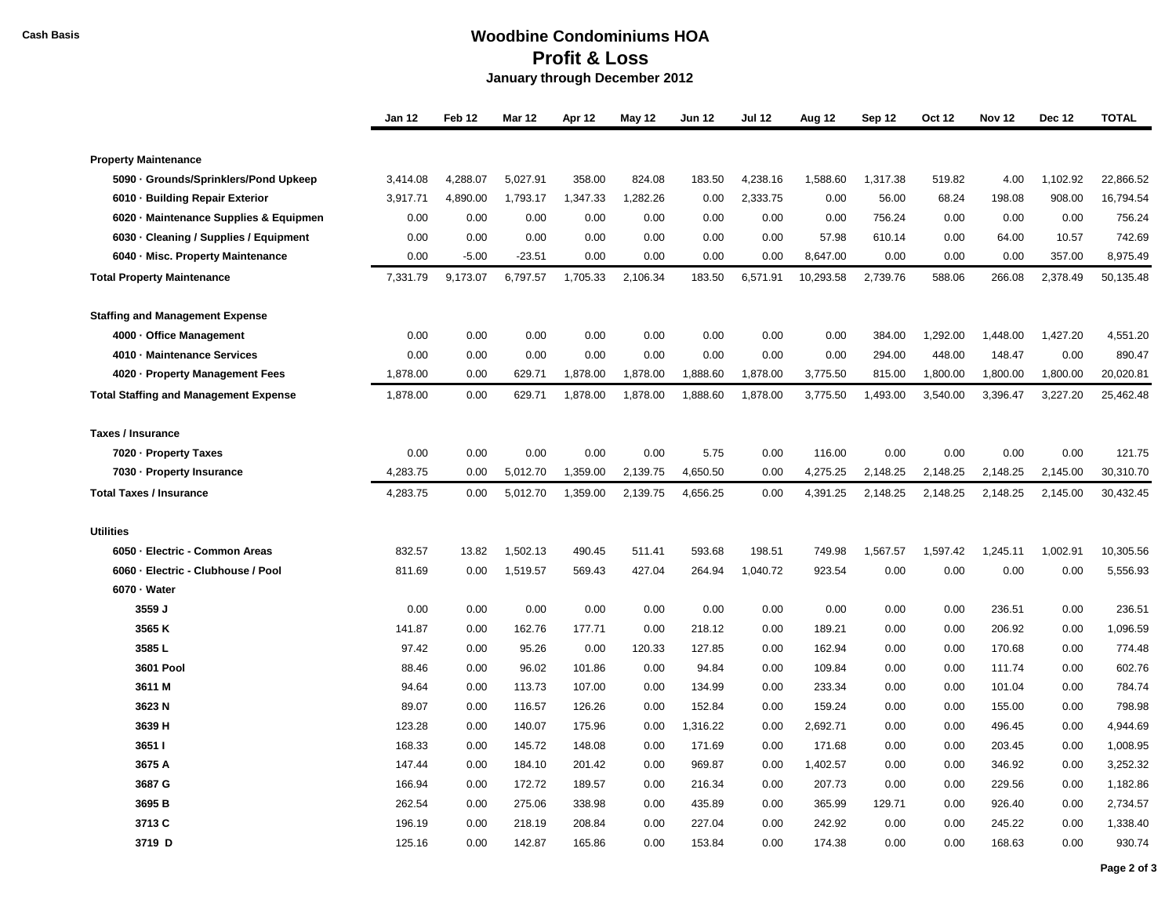## **Cash Basis Woodbine Condominiums HOA Profit & Loss January through December 2012**

|                                              | <b>Jan 12</b> | Feb 12   | <b>Mar 12</b> | Apr 12   | May 12   | <b>Jun 12</b> | <b>Jul 12</b> | Aug 12    | Sep 12   | <b>Oct 12</b> | <b>Nov 12</b> | <b>Dec 12</b> | <b>TOTAL</b> |
|----------------------------------------------|---------------|----------|---------------|----------|----------|---------------|---------------|-----------|----------|---------------|---------------|---------------|--------------|
|                                              |               |          |               |          |          |               |               |           |          |               |               |               |              |
| <b>Property Maintenance</b>                  |               |          |               |          |          |               |               |           |          |               |               |               |              |
| 5090 · Grounds/Sprinklers/Pond Upkeep        | 3,414.08      | 4,288.07 | 5,027.91      | 358.00   | 824.08   | 183.50        | 4,238.16      | 1,588.60  | 1,317.38 | 519.82        | 4.00          | 1,102.92      | 22,866.52    |
| 6010 · Building Repair Exterior              | 3,917.71      | 4,890.00 | 1,793.17      | 1,347.33 | 1,282.26 | 0.00          | 2,333.75      | 0.00      | 56.00    | 68.24         | 198.08        | 908.00        | 16,794.54    |
| 6020 · Maintenance Supplies & Equipmen       | 0.00          | 0.00     | 0.00          | 0.00     | 0.00     | 0.00          | 0.00          | 0.00      | 756.24   | 0.00          | 0.00          | 0.00          | 756.24       |
| 6030 · Cleaning / Supplies / Equipment       | 0.00          | 0.00     | 0.00          | 0.00     | 0.00     | 0.00          | 0.00          | 57.98     | 610.14   | 0.00          | 64.00         | 10.57         | 742.69       |
| 6040 - Misc. Property Maintenance            | 0.00          | $-5.00$  | $-23.51$      | 0.00     | 0.00     | 0.00          | 0.00          | 8,647.00  | 0.00     | 0.00          | 0.00          | 357.00        | 8,975.49     |
| <b>Total Property Maintenance</b>            | 7,331.79      | 9,173.07 | 6,797.57      | 1,705.33 | 2,106.34 | 183.50        | 6,571.91      | 10,293.58 | 2,739.76 | 588.06        | 266.08        | 2,378.49      | 50,135.48    |
| <b>Staffing and Management Expense</b>       |               |          |               |          |          |               |               |           |          |               |               |               |              |
| 4000 · Office Management                     | 0.00          | 0.00     | 0.00          | 0.00     | 0.00     | 0.00          | 0.00          | 0.00      | 384.00   | 1,292.00      | 1,448.00      | 1,427.20      | 4,551.20     |
| 4010 - Maintenance Services                  | 0.00          | 0.00     | 0.00          | 0.00     | 0.00     | 0.00          | 0.00          | 0.00      | 294.00   | 448.00        | 148.47        | 0.00          | 890.47       |
| 4020 · Property Management Fees              | 1,878.00      | 0.00     | 629.71        | 1,878.00 | 1,878.00 | 1,888.60      | 1,878.00      | 3,775.50  | 815.00   | 1,800.00      | 1,800.00      | 1,800.00      | 20,020.81    |
| <b>Total Staffing and Management Expense</b> | 1,878.00      | 0.00     | 629.71        | 1,878.00 | 1.878.00 | 1.888.60      | 1.878.00      | 3.775.50  | 1,493.00 | 3.540.00      | 3,396.47      | 3,227.20      | 25,462.48    |
| <b>Taxes / Insurance</b>                     |               |          |               |          |          |               |               |           |          |               |               |               |              |
| 7020 - Property Taxes                        | 0.00          | 0.00     | 0.00          | 0.00     | 0.00     | 5.75          | 0.00          | 116.00    | 0.00     | 0.00          | 0.00          | 0.00          | 121.75       |
| 7030 - Property Insurance                    | 4,283.75      | 0.00     | 5,012.70      | 1,359.00 | 2,139.75 | 4,650.50      | 0.00          | 4,275.25  | 2,148.25 | 2,148.25      | 2,148.25      | 2,145.00      | 30,310.70    |
| <b>Total Taxes / Insurance</b>               | 4,283.75      | 0.00     | 5,012.70      | 1,359.00 | 2,139.75 | 4,656.25      | 0.00          | 4,391.25  | 2,148.25 | 2,148.25      | 2,148.25      | 2,145.00      | 30,432.45    |
| <b>Utilities</b>                             |               |          |               |          |          |               |               |           |          |               |               |               |              |
| 6050 - Electric - Common Areas               | 832.57        | 13.82    | 1,502.13      | 490.45   | 511.41   | 593.68        | 198.51        | 749.98    | 1,567.57 | 1,597.42      | 1,245.11      | 1,002.91      | 10,305.56    |
| 6060 - Electric - Clubhouse / Pool           | 811.69        | 0.00     | 1,519.57      | 569.43   | 427.04   | 264.94        | 1,040.72      | 923.54    | 0.00     | 0.00          | 0.00          | 0.00          | 5,556.93     |
| 6070 - Water                                 |               |          |               |          |          |               |               |           |          |               |               |               |              |
| 3559 J                                       | 0.00          | 0.00     | 0.00          | 0.00     | 0.00     | 0.00          | 0.00          | 0.00      | 0.00     | 0.00          | 236.51        | 0.00          | 236.51       |
| 3565 K                                       | 141.87        | 0.00     | 162.76        | 177.71   | 0.00     | 218.12        | 0.00          | 189.21    | 0.00     | 0.00          | 206.92        | 0.00          | 1,096.59     |
| 3585L                                        | 97.42         | 0.00     | 95.26         | 0.00     | 120.33   | 127.85        | 0.00          | 162.94    | 0.00     | 0.00          | 170.68        | 0.00          | 774.48       |
| <b>3601 Pool</b>                             | 88.46         | 0.00     | 96.02         | 101.86   | 0.00     | 94.84         | 0.00          | 109.84    | 0.00     | 0.00          | 111.74        | 0.00          | 602.76       |
| 3611 M                                       | 94.64         | 0.00     | 113.73        | 107.00   | 0.00     | 134.99        | 0.00          | 233.34    | 0.00     | 0.00          | 101.04        | 0.00          | 784.74       |
| 3623 N                                       | 89.07         | 0.00     | 116.57        | 126.26   | 0.00     | 152.84        | 0.00          | 159.24    | 0.00     | 0.00          | 155.00        | 0.00          | 798.98       |
| 3639 H                                       | 123.28        | 0.00     | 140.07        | 175.96   | 0.00     | 1,316.22      | 0.00          | 2,692.71  | 0.00     | 0.00          | 496.45        | 0.00          | 4,944.69     |
| 36511                                        | 168.33        | 0.00     | 145.72        | 148.08   | 0.00     | 171.69        | 0.00          | 171.68    | 0.00     | 0.00          | 203.45        | 0.00          | 1,008.95     |
| 3675 A                                       | 147.44        | 0.00     | 184.10        | 201.42   | 0.00     | 969.87        | 0.00          | 1,402.57  | 0.00     | 0.00          | 346.92        | 0.00          | 3,252.32     |
| 3687 G                                       | 166.94        | 0.00     | 172.72        | 189.57   | 0.00     | 216.34        | 0.00          | 207.73    | 0.00     | 0.00          | 229.56        | 0.00          | 1,182.86     |
| 3695 <sub>B</sub>                            | 262.54        | 0.00     | 275.06        | 338.98   | 0.00     | 435.89        | 0.00          | 365.99    | 129.71   | 0.00          | 926.40        | 0.00          | 2,734.57     |
| 3713 C                                       | 196.19        | 0.00     | 218.19        | 208.84   | 0.00     | 227.04        | 0.00          | 242.92    | 0.00     | 0.00          | 245.22        | 0.00          | 1,338.40     |
| 3719 D                                       | 125.16        | 0.00     | 142.87        | 165.86   | 0.00     | 153.84        | 0.00          | 174.38    | 0.00     | 0.00          | 168.63        | 0.00          | 930.74       |